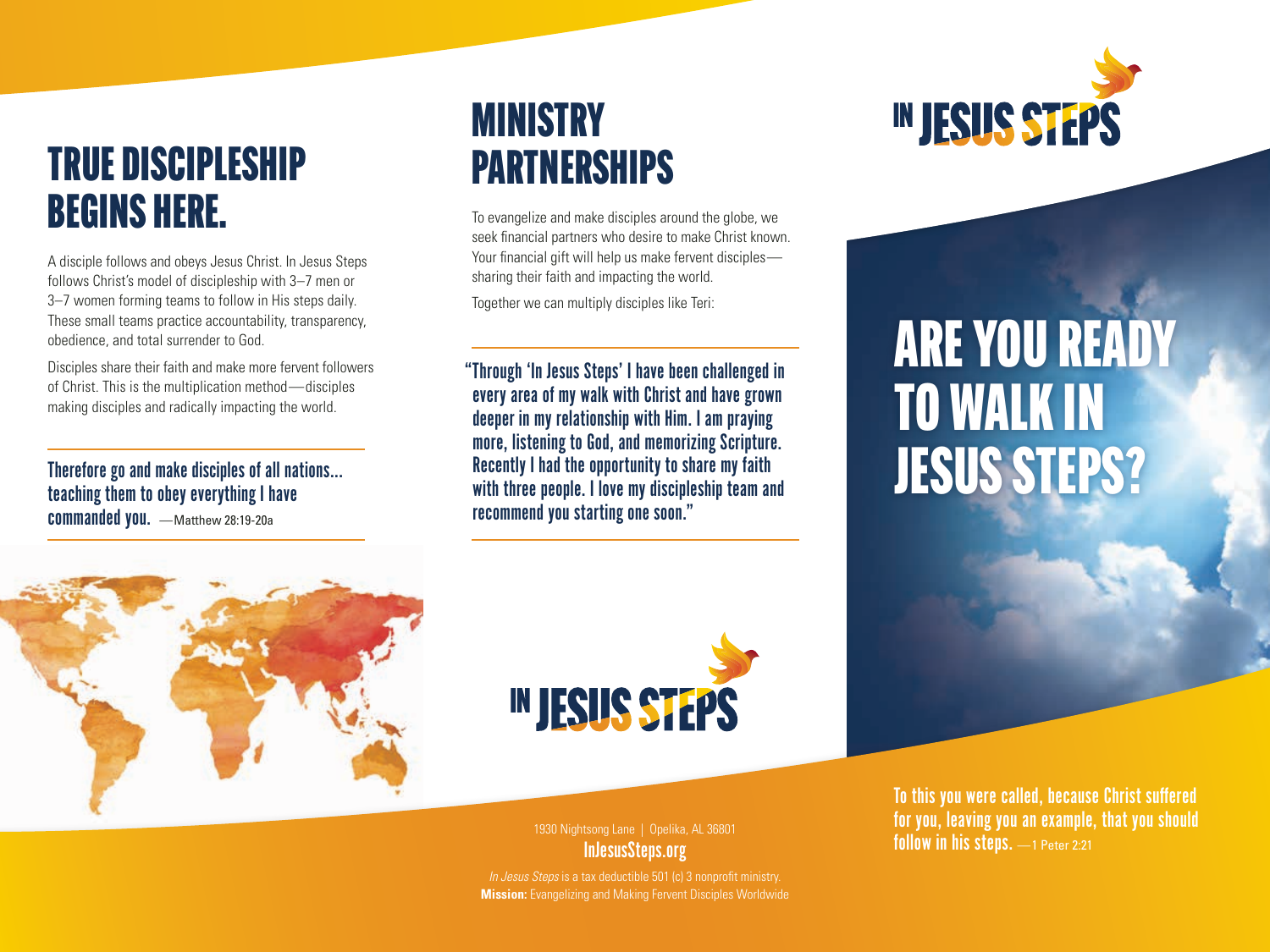#### TRUE DISCIPLESHIP BEGINS HERE.

A disciple follows and obeys Jesus Christ. In Jesus Steps follows Christ's model of discipleship with 3–7 men or 3–7 women forming teams to follow in His steps daily. These small teams practice accountability, transparency, obedience, and total surrender to God.

Disciples share their faith and make more fervent followers of Christ. This is the multiplication method—disciples making disciples and radically impacting the world.

Therefore go and make disciples of all nations... teaching them to obey everything I have commanded you. - Matthew 28:19-20a

### MINISTRY PARTNERSHIPS

To evangelize and make disciples around the globe, we seek financial partners who desire to make Christ known. Your financial gift will help us make fervent disciples sharing their faith and impacting the world.

Together we can multiply disciples like Teri:

"Through 'In Jesus Steps' I have been challenged in every area of my walk with Christ and have grown deeper in my relationship with Him. I am praying more, listening to God, and memorizing Scripture. Recently I had the opportunity to share my faith with three people. I love my discipleship team and recommend you starting one soon."



# ARE YOU READY TO WALK IN JESUS STEPS?





1930 Nightsong Lane | Opelika, AL 36801 InJesusSteps.org

*In Jesus Steps* is a tax deductible 501 (c) 3 nonprofit ministry. **Mission:** Evangelizing and Making Fervent Disciples Worldwide To this you were called, because Christ suffered for you, leaving you an example, that you should follow in his steps. —1 Peter 2:21